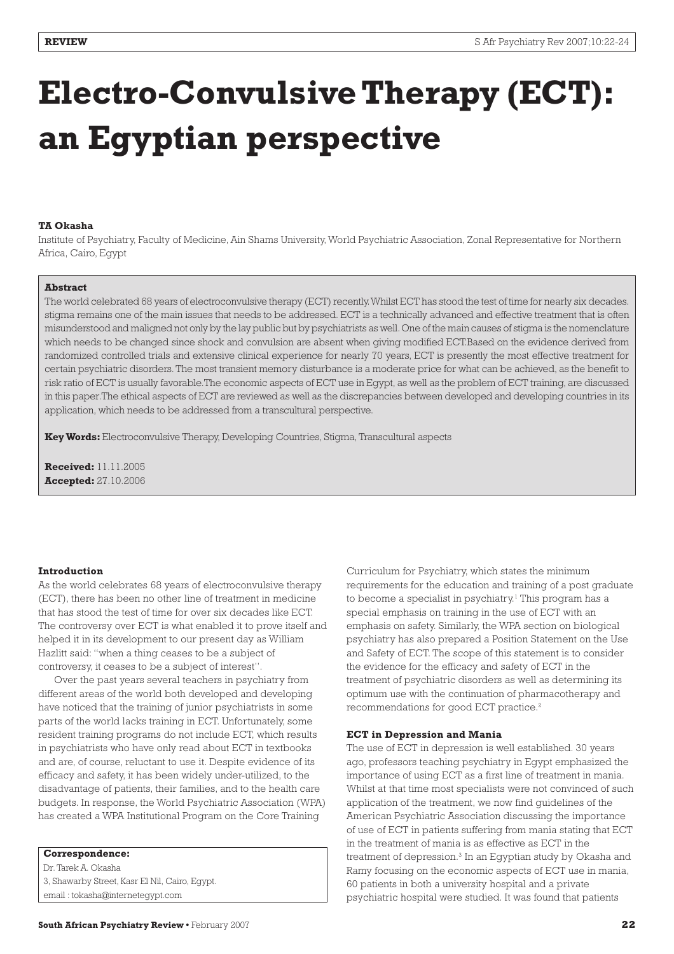# **Electro-Convulsive Therapy (ECT): an Egyptian perspective**

# **TA Okasha**

Institute of Psychiatry, Faculty of Medicine, Ain Shams University, World Psychiatric Association, Zonal Representative for Northern Africa, Cairo, Egypt

# **Abstract**

The world celebrated 68 years of electroconvulsive therapy (ECT) recently. Whilst ECT has stood the test of time for nearly six decades. stigma remains one of the main issues that needs to be addressed. ECT is a technically advanced and effective treatment that is often misunderstood and maligned not only by the lay public but by psychiatrists as well. One of the main causes of stigma is the nomenclature which needs to be changed since shock and convulsion are absent when giving modified ECT.Based on the evidence derived from randomized controlled trials and extensive clinical experience for nearly 70 years, ECT is presently the most effective treatment for certain psychiatric disorders. The most transient memory disturbance is a moderate price for what can be achieved, as the benefit to risk ratio of ECT is usually favorable.The economic aspects of ECT use in Egypt, as well as the problem of ECT training, are discussed in this paper.The ethical aspects of ECT are reviewed as well as the discrepancies between developed and developing countries in its application, which needs to be addressed from a transcultural perspective.

**Key Words:** Electroconvulsive Therapy, Developing Countries, Stigma, Transcultural aspects

**Received:** 11.11.2005 **Accepted:** 27.10.2006

# **Introduction**

As the world celebrates 68 years of electroconvulsive therapy (ECT), there has been no other line of treatment in medicine that has stood the test of time for over six decades like ECT. The controversy over ECT is what enabled it to prove itself and helped it in its development to our present day as William Hazlitt said: "when a thing ceases to be a subject of controversy, it ceases to be a subject of interest".

Over the past years several teachers in psychiatry from different areas of the world both developed and developing have noticed that the training of junior psychiatrists in some parts of the world lacks training in ECT. Unfortunately, some resident training programs do not include ECT, which results in psychiatrists who have only read about ECT in textbooks and are, of course, reluctant to use it. Despite evidence of its efficacy and safety, it has been widely under-utilized, to the disadvantage of patients, their families, and to the health care budgets. In response, the World Psychiatric Association (WPA) has created a WPA Institutional Program on the Core Training

**Correspondence:**

Dr. Tarek A. Okasha 3, Shawarby Street, Kasr El Nil, Cairo, Egypt. email : tokasha@internetegypt.com

Curriculum for Psychiatry, which states the minimum requirements for the education and training of a post graduate to become a specialist in psychiatry.<sup>1</sup> This program has a special emphasis on training in the use of ECT with an emphasis on safety. Similarly, the WPA section on biological psychiatry has also prepared a Position Statement on the Use and Safety of ECT. The scope of this statement is to consider the evidence for the efficacy and safety of ECT in the treatment of psychiatric disorders as well as determining its optimum use with the continuation of pharmacotherapy and recommendations for good ECT practice.2

# **ECT in Depression and Mania**

The use of ECT in depression is well established. 30 years ago, professors teaching psychiatry in Egypt emphasized the importance of using ECT as a first line of treatment in mania. Whilst at that time most specialists were not convinced of such application of the treatment, we now find guidelines of the American Psychiatric Association discussing the importance of use of ECT in patients suffering from mania stating that ECT in the treatment of mania is as effective as ECT in the treatment of depression.3 In an Egyptian study by Okasha and Ramy focusing on the economic aspects of ECT use in mania, 60 patients in both a university hospital and a private psychiatric hospital were studied. It was found that patients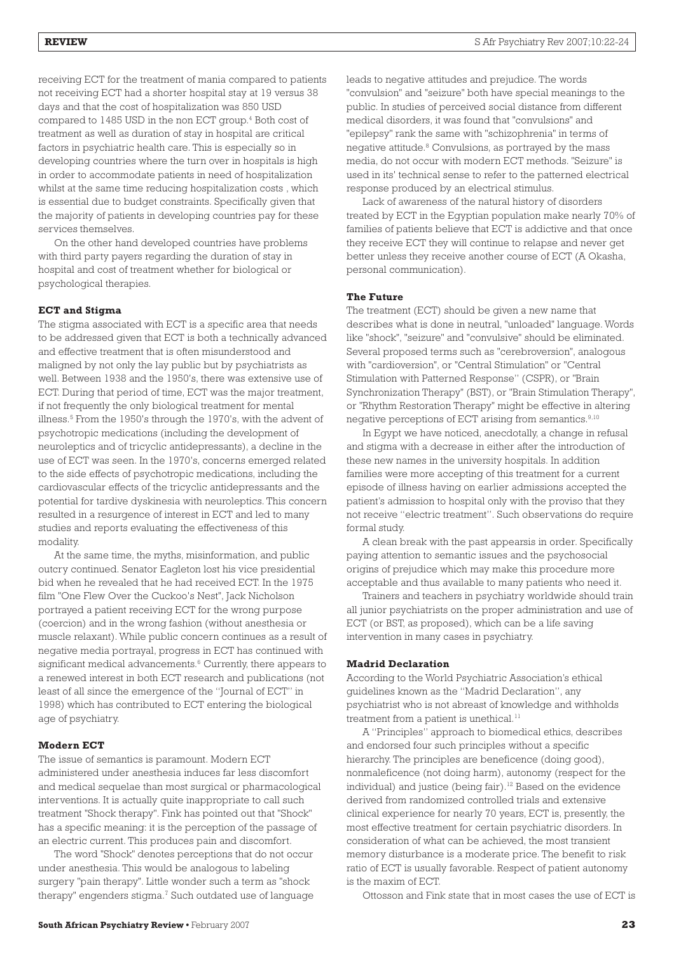receiving ECT for the treatment of mania compared to patients not receiving ECT had a shorter hospital stay at 19 versus 38 days and that the cost of hospitalization was 850 USD compared to 1485 USD in the non ECT group.<sup>4</sup> Both cost of treatment as well as duration of stay in hospital are critical factors in psychiatric health care. This is especially so in developing countries where the turn over in hospitals is high in order to accommodate patients in need of hospitalization whilst at the same time reducing hospitalization costs , which is essential due to budget constraints. Specifically given that the majority of patients in developing countries pay for these services themselves.

On the other hand developed countries have problems with third party payers regarding the duration of stay in hospital and cost of treatment whether for biological or psychological therapies.

### **ECT and Stigma**

The stigma associated with ECT is a specific area that needs to be addressed given that ECT is both a technically advanced and effective treatment that is often misunderstood and maligned by not only the lay public but by psychiatrists as well. Between 1938 and the 1950's, there was extensive use of ECT. During that period of time, ECT was the major treatment, if not frequently the only biological treatment for mental illness.5 From the 1950's through the 1970's, with the advent of psychotropic medications (including the development of neuroleptics and of tricyclic antidepressants), a decline in the use of ECT was seen. In the 1970's, concerns emerged related to the side effects of psychotropic medications, including the cardiovascular effects of the tricyclic antidepressants and the potential for tardive dyskinesia with neuroleptics. This concern resulted in a resurgence of interest in ECT and led to many studies and reports evaluating the effectiveness of this modality.

At the same time, the myths, misinformation, and public outcry continued. Senator Eagleton lost his vice presidential bid when he revealed that he had received ECT. In the 1975 film "One Flew Over the Cuckoo's Nest", Jack Nicholson portrayed a patient receiving ECT for the wrong purpose (coercion) and in the wrong fashion (without anesthesia or muscle relaxant). While public concern continues as a result of negative media portrayal, progress in ECT has continued with significant medical advancements.<sup>6</sup> Currently, there appears to a renewed interest in both ECT research and publications (not least of all since the emergence of the "Journal of ECT" in 1998) which has contributed to ECT entering the biological age of psychiatry.

#### **Modern ECT**

The issue of semantics is paramount. Modern ECT administered under anesthesia induces far less discomfort and medical sequelae than most surgical or pharmacological interventions. It is actually quite inappropriate to call such treatment "Shock therapy". Fink has pointed out that "Shock" has a specific meaning: it is the perception of the passage of an electric current. This produces pain and discomfort.

The word "Shock" denotes perceptions that do not occur under anesthesia. This would be analogous to labeling surgery "pain therapy". Little wonder such a term as "shock therapy" engenders stigma.<sup>7</sup> Such outdated use of language

leads to negative attitudes and prejudice. The words "convulsion" and "seizure" both have special meanings to the public. In studies of perceived social distance from different medical disorders, it was found that "convulsions" and "epilepsy" rank the same with "schizophrenia" in terms of negative attitude.<sup>8</sup> Convulsions, as portrayed by the mass media, do not occur with modern ECT methods. "Seizure" is used in its' technical sense to refer to the patterned electrical response produced by an electrical stimulus.

Lack of awareness of the natural history of disorders treated by ECT in the Egyptian population make nearly 70% of families of patients believe that ECT is addictive and that once they receive ECT they will continue to relapse and never get better unless they receive another course of ECT (A Okasha, personal communication).

# **The Future**

The treatment (ECT) should be given a new name that describes what is done in neutral, "unloaded" language. Words like "shock", "seizure" and "convulsive" should be eliminated. Several proposed terms such as "cerebroversion", analogous with "cardioversion", or "Central Stimulation" or "Central Stimulation with Patterned Response" (CSPR), or "Brain Synchronization Therapy" (BST), or "Brain Stimulation Therapy", or "Rhythm Restoration Therapy" might be effective in altering negative perceptions of ECT arising from semantics.<sup>9,10</sup>

In Egypt we have noticed, anecdotally, a change in refusal and stigma with a decrease in either after the introduction of these new names in the university hospitals. In addition families were more accepting of this treatment for a current episode of illness having on earlier admissions accepted the patient's admission to hospital only with the proviso that they not receive "electric treatment". Such observations do require formal study.

A clean break with the past appearsis in order. Specifically paying attention to semantic issues and the psychosocial origins of prejudice which may make this procedure more acceptable and thus available to many patients who need it.

Trainers and teachers in psychiatry worldwide should train all junior psychiatrists on the proper administration and use of ECT (or BST, as proposed), which can be a life saving intervention in many cases in psychiatry.

## **Madrid Declaration**

According to the World Psychiatric Association's ethical guidelines known as the "Madrid Declaration", any psychiatrist who is not abreast of knowledge and withholds treatment from a patient is unethical.<sup>11</sup>

A "Principles" approach to biomedical ethics, describes and endorsed four such principles without a specific hierarchy. The principles are beneficence (doing good), nonmaleficence (not doing harm), autonomy (respect for the individual) and justice (being fair).<sup>12</sup> Based on the evidence derived from randomized controlled trials and extensive clinical experience for nearly 70 years, ECT is, presently, the most effective treatment for certain psychiatric disorders. In consideration of what can be achieved, the most transient memory disturbance is a moderate price. The benefit to risk ratio of ECT is usually favorable. Respect of patient autonomy is the maxim of ECT.

Ottosson and Fink state that in most cases the use of ECT is